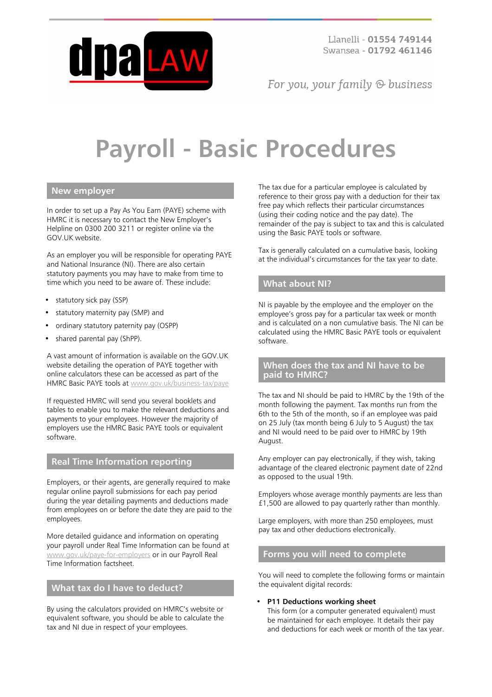

For you, your family  $\odot$  business

# **Payroll - Basic Procedures**

## **New employer**

In order to set up a Pay As You Earn (PAYE) scheme with HMRC it is necessary to contact the New Employer's Helpline on 0300 200 3211 or register online via the GOV.UK website.

As an employer you will be responsible for operating PAYE and National Insurance (NI). There are also certain statutory payments you may have to make from time to time which you need to be aware of. These include:

- statutory sick pay (SSP)
- statutory maternity pay (SMP) and
- ordinary statutory paternity pay (OSPP)
- shared parental pay (ShPP).

A vast amount of information is available on the GOV.UK website detailing the operation of PAYE together with online calculators these can be accessed as part of the HMRC Basic PAYE tools at [www.gov.uk/business-tax/paye](https://www.gov.uk/business-tax/paye)

If requested HMRC will send you several booklets and tables to enable you to make the relevant deductions and payments to your employees. However the majority of employers use the HMRC Basic PAYE tools or equivalent software.

# **Real Time Information reporting**

Employers, or their agents, are generally required to make regular online payroll submissions for each pay period during the year detailing payments and deductions made from employees on or before the date they are paid to the employees.

More detailed guidance and information on operating your payroll under Real Time Information can be found at [www.gov.uk/paye-for-employers](https://www.gov.uk/paye-for-employers) or in our Payroll Real Time Information factsheet.

## **What tax do I have to deduct?**

By using the calculators provided on HMRC's website or equivalent software, you should be able to calculate the tax and NI due in respect of your employees.

The tax due for a particular employee is calculated by reference to their gross pay with a deduction for their tax free pay which reflects their particular circumstances (using their coding notice and the pay date). The remainder of the pay is subject to tax and this is calculated using the Basic PAYE tools or software.

Tax is generally calculated on a cumulative basis, looking at the individual's circumstances for the tax year to date.

## **What about NI?**

NI is payable by the employee and the employer on the employee's gross pay for a particular tax week or month and is calculated on a non cumulative basis. The NI can be calculated using the HMRC Basic PAYE tools or equivalent software.

### **When does the tax and NI have to be paid to HMRC?**

The tax and NI should be paid to HMRC by the 19th of the month following the payment. Tax months run from the 6th to the 5th of the month, so if an employee was paid on 25 July (tax month being 6 July to 5 August) the tax and NI would need to be paid over to HMRC by 19th August.

Any employer can pay electronically, if they wish, taking advantage of the cleared electronic payment date of 22nd as opposed to the usual 19th.

Employers whose average monthly payments are less than £1,500 are allowed to pay quarterly rather than monthly.

Large employers, with more than 250 employees, must pay tax and other deductions electronically.

#### **Forms you will need to complete**

You will need to complete the following forms or maintain the equivalent digital records:

#### • **P11 Deductions working sheet**

This form (or a computer generated equivalent) must be maintained for each employee. It details their pay and deductions for each week or month of the tax year.